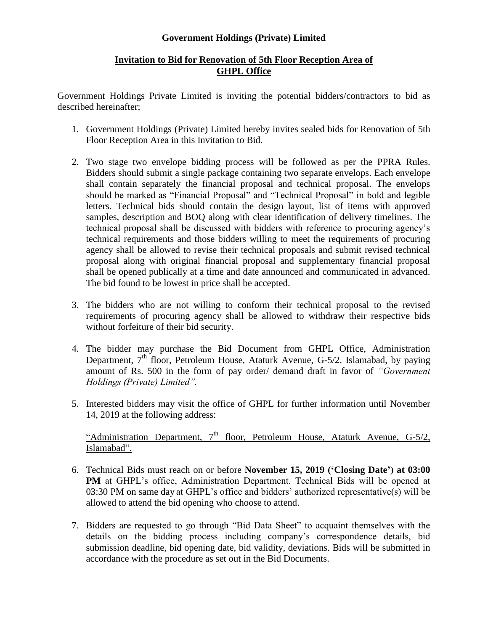## **Government Holdings (Private) Limited**

## **Invitation to Bid for Renovation of 5th Floor Reception Area of GHPL Office**

Government Holdings Private Limited is inviting the potential bidders/contractors to bid as described hereinafter;

- 1. Government Holdings (Private) Limited hereby invites sealed bids for Renovation of 5th Floor Reception Area in this Invitation to Bid.
- 2. Two stage two envelope bidding process will be followed as per the PPRA Rules. Bidders should submit a single package containing two separate envelops. Each envelope shall contain separately the financial proposal and technical proposal. The envelops should be marked as "Financial Proposal" and "Technical Proposal" in bold and legible letters. Technical bids should contain the design layout, list of items with approved samples, description and BOQ along with clear identification of delivery timelines. The technical proposal shall be discussed with bidders with reference to procuring agency's technical requirements and those bidders willing to meet the requirements of procuring agency shall be allowed to revise their technical proposals and submit revised technical proposal along with original financial proposal and supplementary financial proposal shall be opened publically at a time and date announced and communicated in advanced. The bid found to be lowest in price shall be accepted.
- 3. The bidders who are not willing to conform their technical proposal to the revised requirements of procuring agency shall be allowed to withdraw their respective bids without forfeiture of their bid security.
- 4. The bidder may purchase the Bid Document from GHPL Office, Administration Department,  $7<sup>th</sup>$  floor, Petroleum House, Ataturk Avenue, G-5/2, Islamabad, by paying amount of Rs. 500 in the form of pay order/ demand draft in favor of *"Government Holdings (Private) Limited".*
- 5. Interested bidders may visit the office of GHPL for further information until November 14, 2019 at the following address:

"Administration Department,  $7<sup>th</sup>$  floor, Petroleum House, Ataturk Avenue, G-5/2, Islamabad".

- 6. Technical Bids must reach on or before **November 15, 2019 ('Closing Date') at 03:00 PM** at GHPL's office, Administration Department. Technical Bids will be opened at 03:30 PM on same day at GHPL's office and bidders' authorized representative(s) will be allowed to attend the bid opening who choose to attend.
- 7. Bidders are requested to go through "Bid Data Sheet" to acquaint themselves with the details on the bidding process including company's correspondence details, bid submission deadline, bid opening date, bid validity, deviations. Bids will be submitted in accordance with the procedure as set out in the Bid Documents.